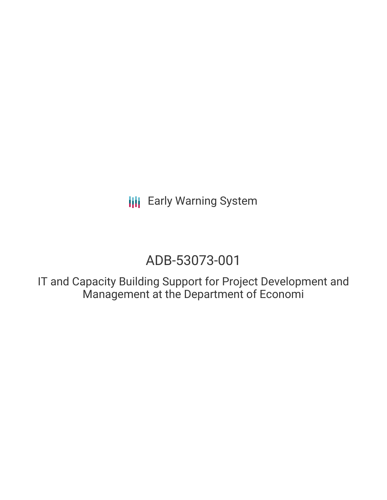**III** Early Warning System

# ADB-53073-001

IT and Capacity Building Support for Project Development and Management at the Department of Economi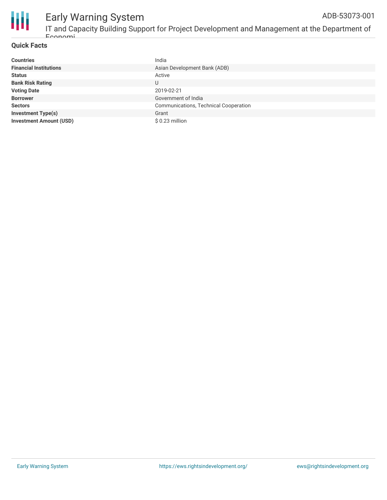

## Early Warning System

IT and Capacity Building Support for Project Development and Management at the Department of Economi ADB-53073-001

#### **Quick Facts**

| <b>Countries</b>               | India                                 |
|--------------------------------|---------------------------------------|
| <b>Financial Institutions</b>  | Asian Development Bank (ADB)          |
| <b>Status</b>                  | Active                                |
| <b>Bank Risk Rating</b>        | U                                     |
| <b>Voting Date</b>             | 2019-02-21                            |
| <b>Borrower</b>                | Government of India                   |
| <b>Sectors</b>                 | Communications, Technical Cooperation |
| <b>Investment Type(s)</b>      | Grant                                 |
| <b>Investment Amount (USD)</b> | \$0.23 million                        |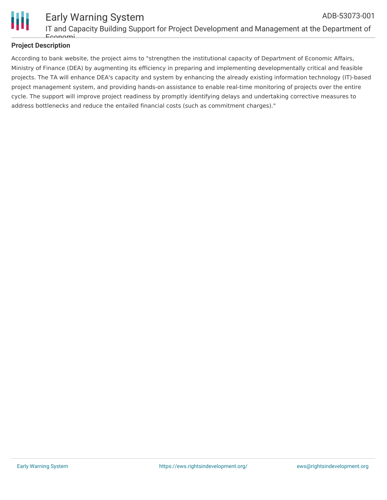

#### Early Warning System IT and Capacity Building Support for Project Development and Management at the Department of Economi ADB-53073-001

### **Project Description**

According to bank website, the project aims to "strengthen the institutional capacity of Department of Economic Affairs, Ministry of Finance (DEA) by augmenting its efficiency in preparing and implementing developmentally critical and feasible projects. The TA will enhance DEA's capacity and system by enhancing the already existing information technology (IT)-based project management system, and providing hands-on assistance to enable real-time monitoring of projects over the entire cycle. The support will improve project readiness by promptly identifying delays and undertaking corrective measures to address bottlenecks and reduce the entailed financial costs (such as commitment charges)."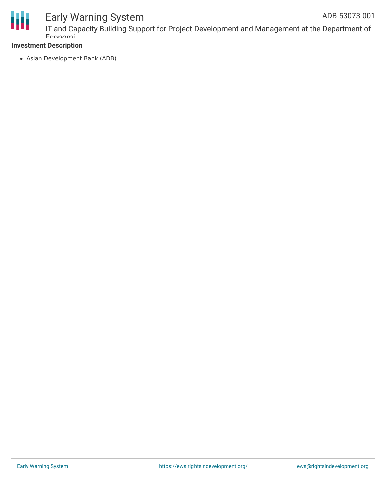

### Early Warning System

### **Investment Description**

Asian Development Bank (ADB)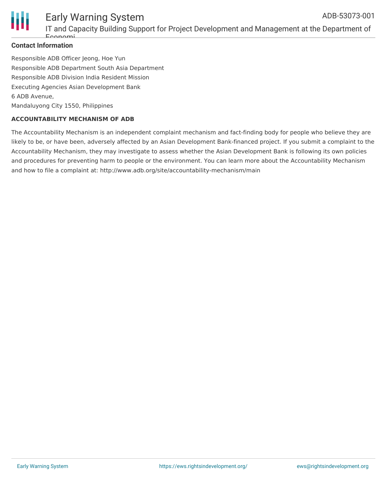

#### **Contact Information**

Responsible ADB Officer Jeong, Hoe Yun Responsible ADB Department South Asia Department Responsible ADB Division India Resident Mission Executing Agencies Asian Development Bank 6 ADB Avenue, Mandaluyong City 1550, Philippines

#### **ACCOUNTABILITY MECHANISM OF ADB**

The Accountability Mechanism is an independent complaint mechanism and fact-finding body for people who believe they are likely to be, or have been, adversely affected by an Asian Development Bank-financed project. If you submit a complaint to the Accountability Mechanism, they may investigate to assess whether the Asian Development Bank is following its own policies and procedures for preventing harm to people or the environment. You can learn more about the Accountability Mechanism and how to file a complaint at: http://www.adb.org/site/accountability-mechanism/main